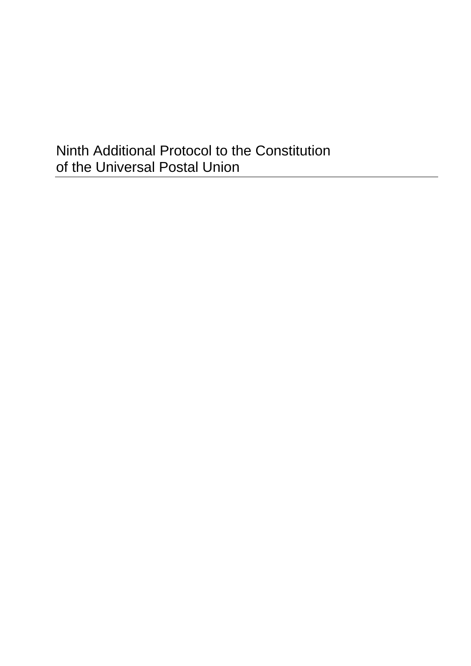# Ninth Additional Protocol to the Constitution of the Universal Postal Union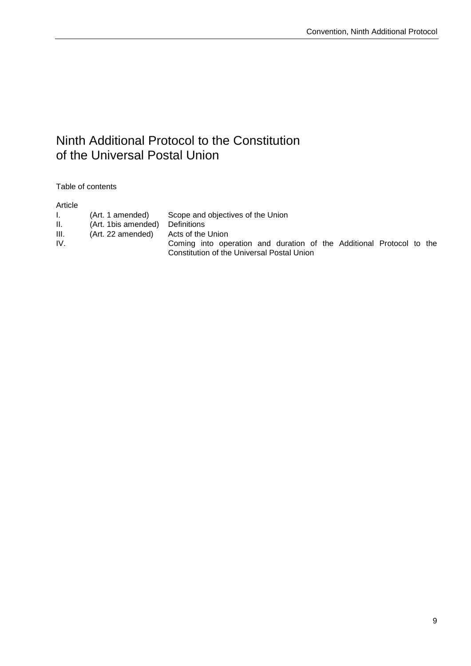## Ninth Additional Protocol to the Constitution of the Universal Postal Union

Table of contents

#### Article

| 1. I | (Art. 1 amended)                    | Scope and objectives of the Union                                    |
|------|-------------------------------------|----------------------------------------------------------------------|
| H.   | (Art. 1bis amended) Definitions     |                                                                      |
| III. | (Art. 22 amended) Acts of the Union |                                                                      |
| IV.  |                                     | Coming into operation and duration of the Additional Protocol to the |
|      |                                     | Constitution of the Universal Postal Union                           |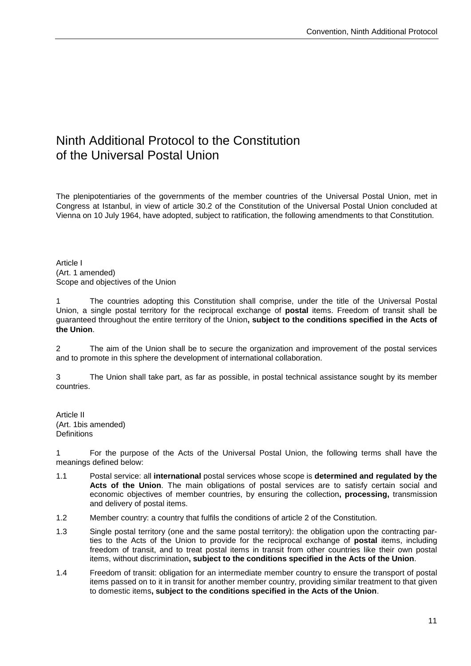### Ninth Additional Protocol to the Constitution of the Universal Postal Union

The plenipotentiaries of the governments of the member countries of the Universal Postal Union, met in Congress at Istanbul, in view of article 30.2 of the Constitution of the Universal Postal Union concluded at Vienna on 10 July 1964, have adopted, subject to ratification, the following amendments to that Constitution.

Article I (Art. 1 amended) Scope and objectives of the Union

1 The countries adopting this Constitution shall comprise, under the title of the Universal Postal Union, a single postal territory for the reciprocal exchange of **postal** items. Freedom of transit shall be guaranteed throughout the entire territory of the Union**, subject to the conditions specified in the Acts of the Union**.

2 The aim of the Union shall be to secure the organization and improvement of the postal services and to promote in this sphere the development of international collaboration.

3 The Union shall take part, as far as possible, in postal technical assistance sought by its member countries.

Article II (Art. 1bis amended) **Definitions** 

1 For the purpose of the Acts of the Universal Postal Union, the following terms shall have the meanings defined below:

- 1.1 Postal service: all **international** postal services whose scope is **determined and regulated by the Acts of the Union**. The main obligations of postal services are to satisfy certain social and economic objectives of member countries, by ensuring the collection**, processing,** transmission and delivery of postal items.
- 1.2 Member country: a country that fulfils the conditions of article 2 of the Constitution.
- 1.3 Single postal territory (one and the same postal territory): the obligation upon the contracting parties to the Acts of the Union to provide for the reciprocal exchange of **postal** items, including freedom of transit, and to treat postal items in transit from other countries like their own postal items, without discrimination**, subject to the conditions specified in the Acts of the Union**.
- 1.4 Freedom of transit: obligation for an intermediate member country to ensure the transport of postal items passed on to it in transit for another member country, providing similar treatment to that given to domestic items**, subject to the conditions specified in the Acts of the Union**.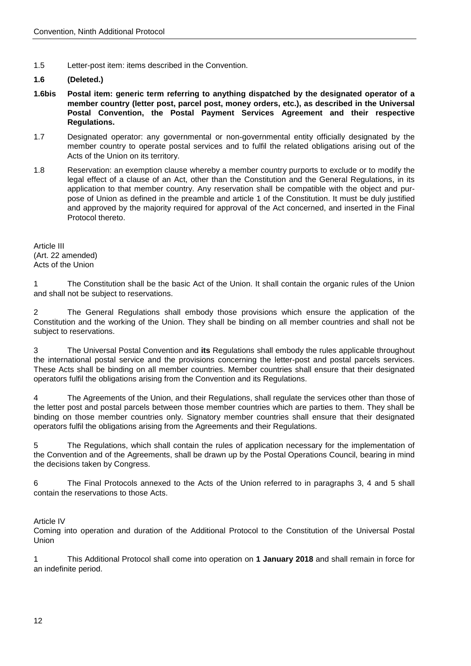1.5 Letter-post item: items described in the Convention.

#### **1.6 (Deleted.)**

- **1.6bis Postal item: generic term referring to anything dispatched by the designated operator of a member country (letter post, parcel post, money orders, etc.), as described in the Universal Postal Convention, the Postal Payment Services Agreement and their respective Regulations.**
- 1.7 Designated operator: any governmental or non-governmental entity officially designated by the member country to operate postal services and to fulfil the related obligations arising out of the Acts of the Union on its territory.
- 1.8 Reservation: an exemption clause whereby a member country purports to exclude or to modify the legal effect of a clause of an Act, other than the Constitution and the General Regulations, in its application to that member country. Any reservation shall be compatible with the object and purpose of Union as defined in the preamble and article 1 of the Constitution. It must be duly justified and approved by the majority required for approval of the Act concerned, and inserted in the Final Protocol thereto.

Article III (Art. 22 amended) Acts of the Union

1 The Constitution shall be the basic Act of the Union. It shall contain the organic rules of the Union and shall not be subject to reservations.

2 The General Regulations shall embody those provisions which ensure the application of the Constitution and the working of the Union. They shall be binding on all member countries and shall not be subject to reservations.

3 The Universal Postal Convention and **its** Regulations shall embody the rules applicable throughout the international postal service and the provisions concerning the letter-post and postal parcels services. These Acts shall be binding on all member countries. Member countries shall ensure that their designated operators fulfil the obligations arising from the Convention and its Regulations.

4 The Agreements of the Union, and their Regulations, shall regulate the services other than those of the letter post and postal parcels between those member countries which are parties to them. They shall be binding on those member countries only. Signatory member countries shall ensure that their designated operators fulfil the obligations arising from the Agreements and their Regulations.

5 The Regulations, which shall contain the rules of application necessary for the implementation of the Convention and of the Agreements, shall be drawn up by the Postal Operations Council, bearing in mind the decisions taken by Congress.

6 The Final Protocols annexed to the Acts of the Union referred to in paragraphs 3, 4 and 5 shall contain the reservations to those Acts.

Article IV

Coming into operation and duration of the Additional Protocol to the Constitution of the Universal Postal Union

1 This Additional Protocol shall come into operation on **1 January 2018** and shall remain in force for an indefinite period.